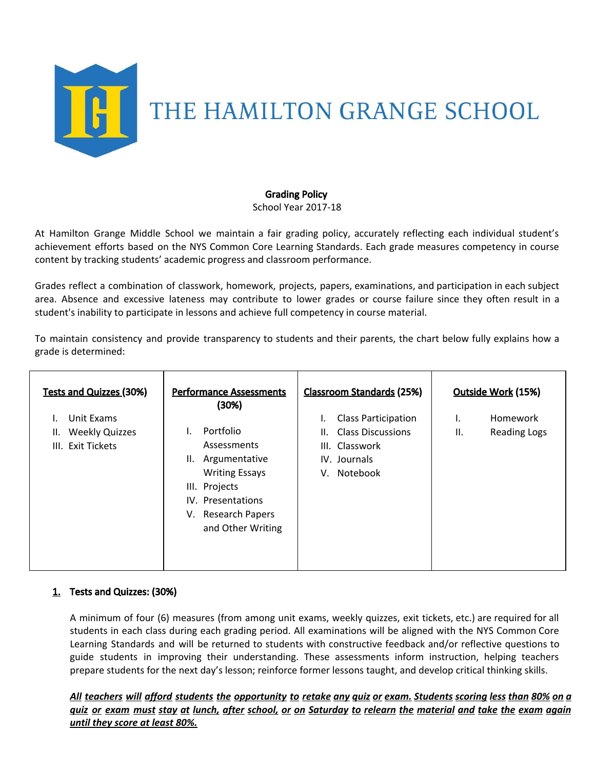

# Grading Policy

School Year 2017-18

At Hamilton Grange Middle School we maintain a fair grading policy, accurately reflecting each individual student's achievement efforts based on the NYS Common Core Learning Standards. Each grade measures competency in course content by tracking students' academic progress and classroom performance.

Grades reflect a combination of classwork, homework, projects, papers, examinations, and participation in each subject area. Absence and excessive lateness may contribute to lower grades or course failure since they often result in a student's inability to participate in lessons and achieve full competency in course material.

To maintain consistency and provide transparency to students and their parents, the chart below fully explains how a grade is determined:

| <b>Tests and Quizzes (30%)</b> | <b>Performance Assessments</b><br>(30%) | <b>Classroom Standards (25%)</b> | Outside Work (15%)        |
|--------------------------------|-----------------------------------------|----------------------------------|---------------------------|
| Unit Exams                     |                                         | <b>Class Participation</b>       | Homework<br>۱.            |
| <b>Weekly Quizzes</b><br>Ш.    | Portfolio                               | <b>Class Discussions</b><br>II.  | Ш.<br><b>Reading Logs</b> |
| III. Exit Tickets              | Assessments                             | III. Classwork                   |                           |
|                                | Argumentative<br>Ш.                     | IV. Journals                     |                           |
|                                | <b>Writing Essays</b>                   | Notebook<br>V.                   |                           |
|                                | III. Projects                           |                                  |                           |
|                                | IV. Presentations                       |                                  |                           |
|                                | V. Research Papers                      |                                  |                           |
|                                | and Other Writing                       |                                  |                           |
|                                |                                         |                                  |                           |
|                                |                                         |                                  |                           |
|                                |                                         |                                  |                           |

# 1. Tests and Quizzes: (30%)

A minimum of four (6) measures (from among unit exams, weekly quizzes, exit tickets, etc.) are required for all students in each class during each grading period. All examinations will be aligned with the NYS Common Core Learning Standards and will be returned to students with constructive feedback and/or reflective questions to guide students in improving their understanding. These assessments inform instruction, helping teachers prepare students for the next day's lesson; reinforce former lessons taught, and develop critical thinking skills.

All teachers will afford students the opportunity to retake any quiz or exam. Students scoring less than 80% on a <u>quiz or exam must stay at lunch, after school, or on Saturday to relearn the material and take the exam again</u> *until they score at least 80%.*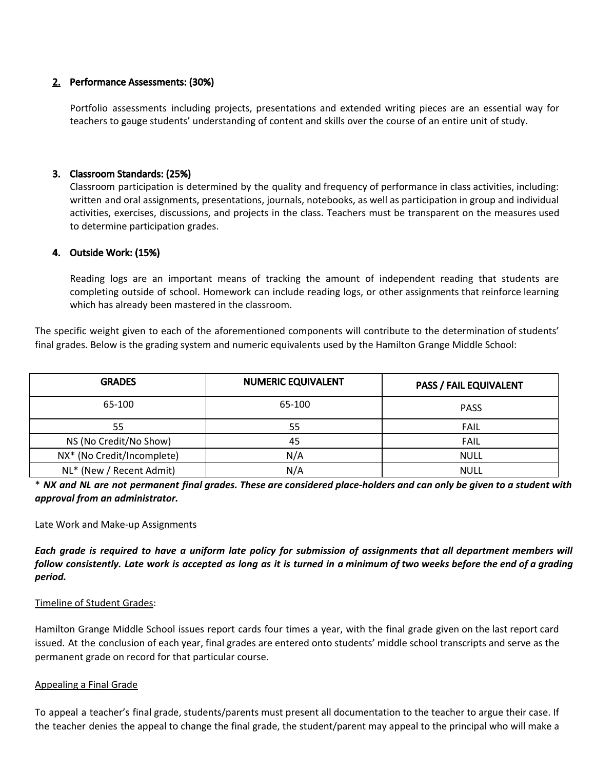## 2. Performance Assessments: (30%)

Portfolio assessments including projects, presentations and extended writing pieces are an essential way for teachers to gauge students' understanding of content and skills over the course of an entire unit of study.

## 3. Classroom Standards: (25%)

Classroom participation is determined by the quality and frequency of performance in class activities, including: written and oral assignments, presentations, journals, notebooks, as well as participation in group and individual activities, exercises, discussions, and projects in the class. Teachers must be transparent on the measures used to determine participation grades.

## 4. Outside Work: (15%)

Reading logs are an important means of tracking the amount of independent reading that students are completing outside of school. Homework can include reading logs, or other assignments that reinforce learning which has already been mastered in the classroom.

The specific weight given to each of the aforementioned components will contribute to the determination of students' final grades. Below is the grading system and numeric equivalents used by the Hamilton Grange Middle School:

| <b>GRADES</b>              | <b>NUMERIC EQUIVALENT</b> | <b>PASS / FAIL EQUIVALENT</b> |
|----------------------------|---------------------------|-------------------------------|
| 65-100                     | 65-100                    | <b>PASS</b>                   |
| 55                         | 55                        | <b>FAIL</b>                   |
| NS (No Credit/No Show)     | 45                        | <b>FAIL</b>                   |
| NX* (No Credit/Incomplete) | N/A                       | <b>NULL</b>                   |
| NL* (New / Recent Admit)   | N/A                       | <b>NULL</b>                   |

\* NX and NL are not permanent final grades. These are considered place-holders and can only be given to a student with *approval from an administrator.*

### Late Work and Make-up Assignments

Each grade is required to have a uniform late policy for submission of assignments that all department members will follow consistently. Late work is accepted as long as it is turned in a minimum of two weeks before the end of a grading *period.*

### Timeline of Student Grades:

Hamilton Grange Middle School issues report cards four times a year, with the final grade given on the last report card issued. At the conclusion of each year, final grades are entered onto students' middle school transcripts and serve as the permanent grade on record for that particular course.

#### Appealing a Final Grade

To appeal a teacher's final grade, students/parents must present all documentation to the teacher to argue their case. If the teacher denies the appeal to change the final grade, the student/parent may appeal to the principal who will make a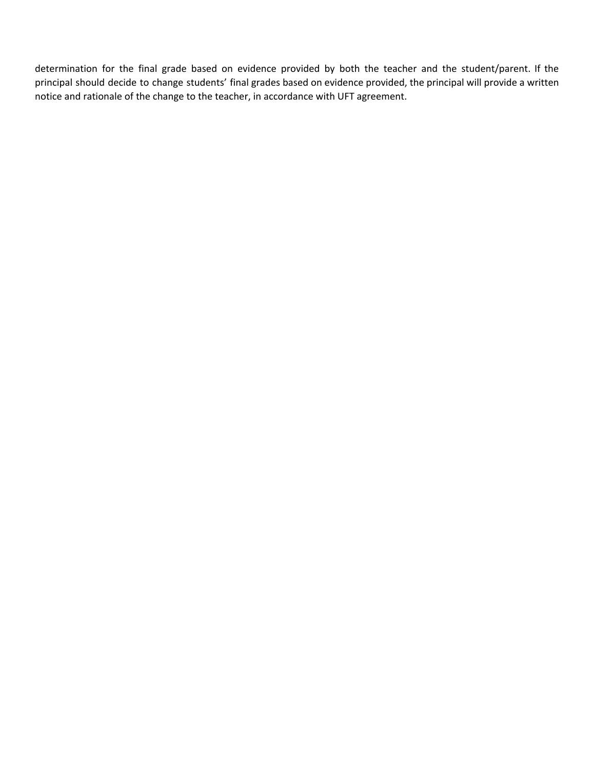determination for the final grade based on evidence provided by both the teacher and the student/parent. If the principal should decide to change students' final grades based on evidence provided, the principal will provide a written notice and rationale of the change to the teacher, in accordance with UFT agreement.